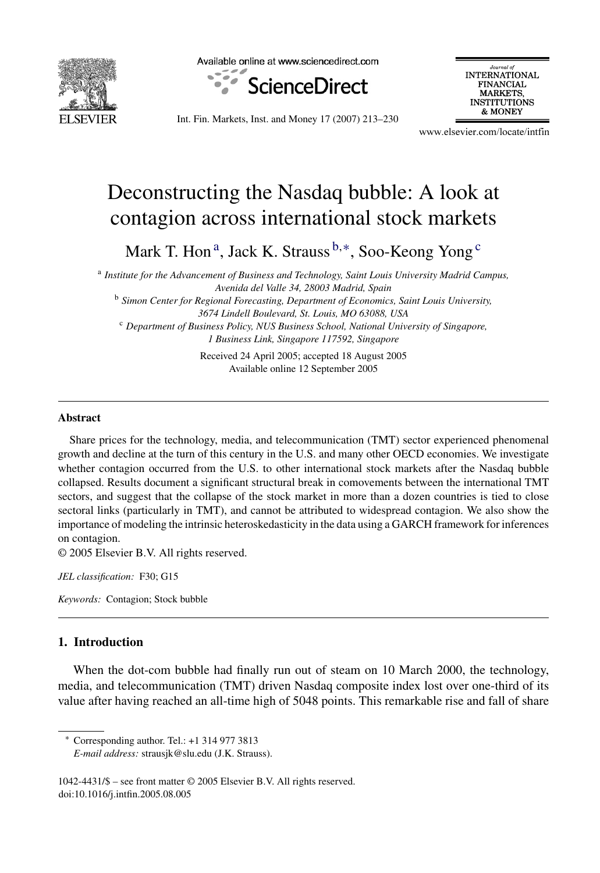

Available online at www.sciencedirect.com





Int. Fin. Markets, Inst. and Money 17 (2007) 213–230

www.elsevier.com/locate/intfin

## Deconstructing the Nasdaq bubble: A look at contagion across international stock markets

Mark T. Hon<sup>a</sup>, Jack K. Strauss<sup>b,\*</sup>, Soo-Keong Yong<sup>c</sup>

<sup>a</sup> *Institute for the Advancement of Business and Technology, Saint Louis University Madrid Campus, Avenida del Valle 34, 28003 Madrid, Spain*

<sup>b</sup> *Simon Center for Regional Forecasting, Department of Economics, Saint Louis University, 3674 Lindell Boulevard, St. Louis, MO 63088, USA* <sup>c</sup> *Department of Business Policy, NUS Business School, National University of Singapore,*

*1 Business Link, Singapore 117592, Singapore*

Received 24 April 2005; accepted 18 August 2005 Available online 12 September 2005

## **Abstract**

Share prices for the technology, media, and telecommunication (TMT) sector experienced phenomenal growth and decline at the turn of this century in the U.S. and many other OECD economies. We investigate whether contagion occurred from the U.S. to other international stock markets after the Nasdaq bubble collapsed. Results document a significant structural break in comovements between the international TMT sectors, and suggest that the collapse of the stock market in more than a dozen countries is tied to close sectoral links (particularly in TMT), and cannot be attributed to widespread contagion. We also show the importance of modeling the intrinsic heteroskedasticity in the data using a GARCH framework for inferences on contagion.

© 2005 Elsevier B.V. All rights reserved.

*JEL classification:* F30; G15

*Keywords:* Contagion; Stock bubble

## **1. Introduction**

When the dot-com bubble had finally run out of steam on 10 March 2000, the technology, media, and telecommunication (TMT) driven Nasdaq composite index lost over one-third of its value after having reached an all-time high of 5048 points. This remarkable rise and fall of share

<sup>∗</sup> Corresponding author. Tel.: +1 314 977 3813 *E-mail address:* strausjk@slu.edu (J.K. Strauss).

<sup>1042-4431/\$ –</sup> see front matter © 2005 Elsevier B.V. All rights reserved. doi:10.1016/j.intfin.2005.08.005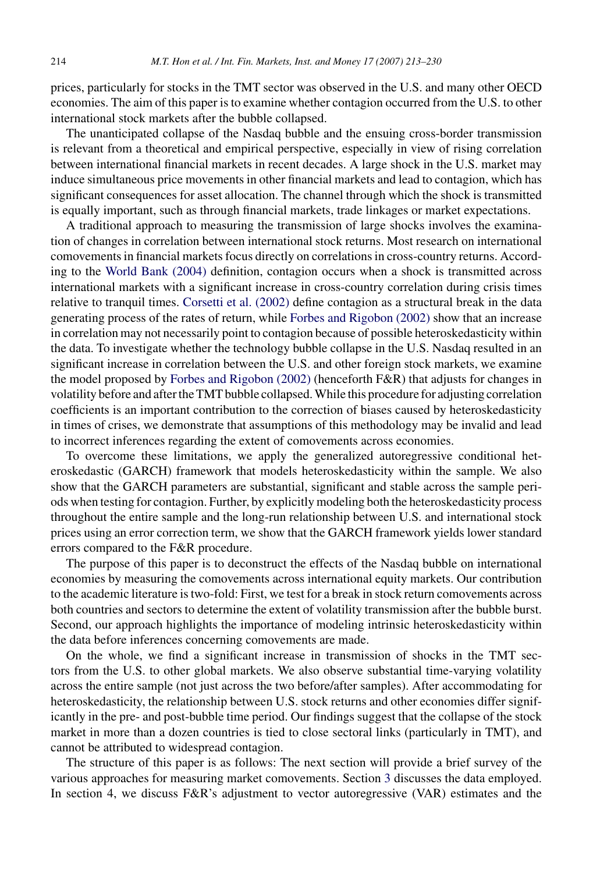prices, particularly for stocks in the TMT sector was observed in the U.S. and many other OECD economies. The aim of this paper is to examine whether contagion occurred from the U.S. to other international stock markets after the bubble collapsed.

The unanticipated collapse of the Nasdaq bubble and the ensuing cross-border transmission is relevant from a theoretical and empirical perspective, especially in view of rising correlation between international financial markets in recent decades. A large shock in the U.S. market may induce simultaneous price movements in other financial markets and lead to contagion, which has significant consequences for asset allocation. The channel through which the shock is transmitted is equally important, such as through financial markets, trade linkages or market expectations.

A traditional approach to measuring the transmission of large shocks involves the examination of changes in correlation between international stock returns. Most research on international comovements in financial markets focus directly on correlations in cross-country returns. According to the [World Bank \(2004\)](#page--1-0) definition, contagion occurs when a shock is transmitted across international markets with a significant increase in cross-country correlation during crisis times relative to tranquil times. [Corsetti et al. \(2002\)](#page--1-0) define contagion as a structural break in the data generating process of the rates of return, while [Forbes and Rigobon \(2002\)](#page--1-0) show that an increase in correlation may not necessarily point to contagion because of possible heteroskedasticity within the data. To investigate whether the technology bubble collapse in the U.S. Nasdaq resulted in an significant increase in correlation between the U.S. and other foreign stock markets, we examine the model proposed by [Forbes and Rigobon \(2002\)](#page--1-0) (henceforth F&R) that adjusts for changes in volatility before and after the TMT bubble collapsed. While this procedure for adjusting correlation coefficients is an important contribution to the correction of biases caused by heteroskedasticity in times of crises, we demonstrate that assumptions of this methodology may be invalid and lead to incorrect inferences regarding the extent of comovements across economies.

To overcome these limitations, we apply the generalized autoregressive conditional heteroskedastic (GARCH) framework that models heteroskedasticity within the sample. We also show that the GARCH parameters are substantial, significant and stable across the sample periods when testing for contagion. Further, by explicitly modeling both the heteroskedasticity process throughout the entire sample and the long-run relationship between U.S. and international stock prices using an error correction term, we show that the GARCH framework yields lower standard errors compared to the F&R procedure.

The purpose of this paper is to deconstruct the effects of the Nasdaq bubble on international economies by measuring the comovements across international equity markets. Our contribution to the academic literature is two-fold: First, we test for a break in stock return comovements across both countries and sectors to determine the extent of volatility transmission after the bubble burst. Second, our approach highlights the importance of modeling intrinsic heteroskedasticity within the data before inferences concerning comovements are made.

On the whole, we find a significant increase in transmission of shocks in the TMT sectors from the U.S. to other global markets. We also observe substantial time-varying volatility across the entire sample (not just across the two before/after samples). After accommodating for heteroskedasticity, the relationship between U.S. stock returns and other economies differ significantly in the pre- and post-bubble time period. Our findings suggest that the collapse of the stock market in more than a dozen countries is tied to close sectoral links (particularly in TMT), and cannot be attributed to widespread contagion.

The structure of this paper is as follows: The next section will provide a brief survey of the various approaches for measuring market comovements. Section [3](#page--1-0) discusses the data employed. In section 4, we discuss F&R's adjustment to vector autoregressive (VAR) estimates and the